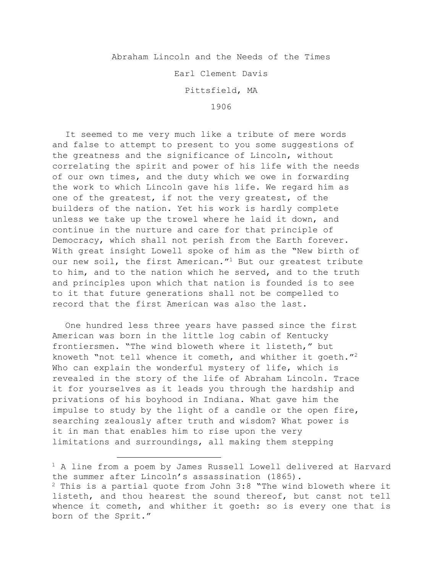Abraham Lincoln and the Needs of the Times

Earl Clement Davis

Pittsfield, MA

1906

It seemed to me very much like a tribute of mere words and false to attempt to present to you some suggestions of the greatness and the significance of Lincoln, without correlating the spirit and power of his life with the needs of our own times, and the duty which we owe in forwarding the work to which Lincoln gave his life. We regard him as one of the greatest, if not the very greatest, of the builders of the nation. Yet his work is hardly complete unless we take up the trowel where he laid it down, and continue in the nurture and care for that principle of Democracy, which shall not perish from the Earth forever. With great insight Lowell spoke of him as the "New birth of our new soil, the first American."<sup>1</sup> But our greatest tribute to him, and to the nation which he served, and to the truth and principles upon which that nation is founded is to see to it that future generations shall not be compelled to record that the first American was also the last.

One hundred less three years have passed since the first American was born in the little log cabin of Kentucky frontiersmen. "The wind bloweth where it listeth," but knoweth "not tell whence it cometh, and whither it goeth."2 Who can explain the wonderful mystery of life, which is revealed in the story of the life of Abraham Lincoln. Trace it for yourselves as it leads you through the hardship and privations of his boyhood in Indiana. What gave him the impulse to study by the light of a candle or the open fire, searching zealously after truth and wisdom? What power is it in man that enables him to rise upon the very limitations and surroundings, all making them stepping

<sup>&</sup>lt;sup>1</sup> A line from a poem by James Russell Lowell delivered at Harvard the summer after Lincoln's assassination (1865).  $2$  This is a partial quote from John 3:8 "The wind bloweth where it listeth, and thou hearest the sound thereof, but canst not tell whence it cometh, and whither it goeth: so is every one that is born of the Sprit."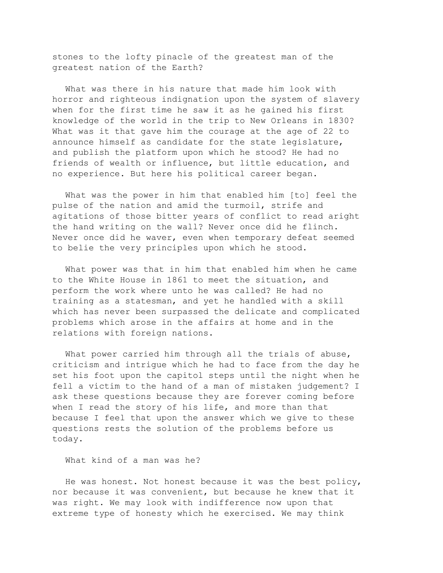stones to the lofty pinacle of the greatest man of the greatest nation of the Earth?

What was there in his nature that made him look with horror and righteous indignation upon the system of slavery when for the first time he saw it as he gained his first knowledge of the world in the trip to New Orleans in 1830? What was it that gave him the courage at the age of 22 to announce himself as candidate for the state legislature, and publish the platform upon which he stood? He had no friends of wealth or influence, but little education, and no experience. But here his political career began.

What was the power in him that enabled him [to] feel the pulse of the nation and amid the turmoil, strife and agitations of those bitter years of conflict to read aright the hand writing on the wall? Never once did he flinch. Never once did he waver, even when temporary defeat seemed to belie the very principles upon which he stood.

What power was that in him that enabled him when he came to the White House in 1861 to meet the situation, and perform the work where unto he was called? He had no training as a statesman, and yet he handled with a skill which has never been surpassed the delicate and complicated problems which arose in the affairs at home and in the relations with foreign nations.

What power carried him through all the trials of abuse, criticism and intrigue which he had to face from the day he set his foot upon the capitol steps until the night when he fell a victim to the hand of a man of mistaken judgement? I ask these questions because they are forever coming before when I read the story of his life, and more than that because I feel that upon the answer which we give to these questions rests the solution of the problems before us today.

What kind of a man was he?

He was honest. Not honest because it was the best policy, nor because it was convenient, but because he knew that it was right. We may look with indifference now upon that extreme type of honesty which he exercised. We may think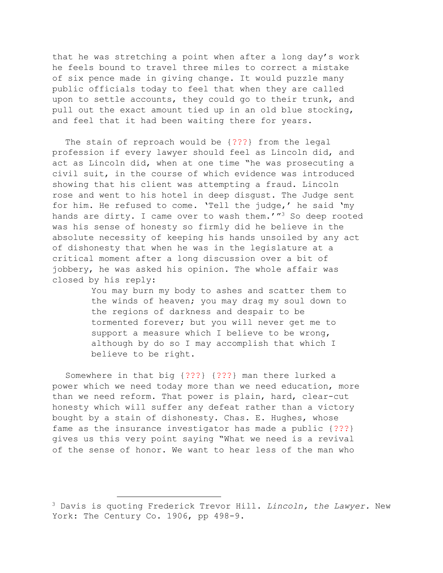that he was stretching a point when after a long day's work he feels bound to travel three miles to correct a mistake of six pence made in giving change. It would puzzle many public officials today to feel that when they are called upon to settle accounts, they could go to their trunk, and pull out the exact amount tied up in an old blue stocking, and feel that it had been waiting there for years.

The stain of reproach would be {???} from the legal profession if every lawyer should feel as Lincoln did, and act as Lincoln did, when at one time "he was prosecuting a civil suit, in the course of which evidence was introduced showing that his client was attempting a fraud. Lincoln rose and went to his hotel in deep disgust. The Judge sent for him. He refused to come. 'Tell the judge,' he said 'my hands are dirty. I came over to wash them.'" $3$  So deep rooted was his sense of honesty so firmly did he believe in the absolute necessity of keeping his hands unsoiled by any act of dishonesty that when he was in the legislature at a critical moment after a long discussion over a bit of jobbery, he was asked his opinion. The whole affair was closed by his reply:

> You may burn my body to ashes and scatter them to the winds of heaven; you may drag my soul down to the regions of darkness and despair to be tormented forever; but you will never get me to support a measure which I believe to be wrong, although by do so I may accomplish that which I believe to be right.

Somewhere in that big {???} {???} man there lurked a power which we need today more than we need education, more than we need reform. That power is plain, hard, clear-cut honesty which will suffer any defeat rather than a victory bought by a stain of dishonesty. Chas. E. Hughes, whose fame as the insurance investigator has made a public {???} gives us this very point saying "What we need is a revival of the sense of honor. We want to hear less of the man who

<sup>3</sup> Davis is quoting Frederick Trevor Hill. *Lincoln, the Lawyer.* New York: The Century Co. 1906, pp 498-9.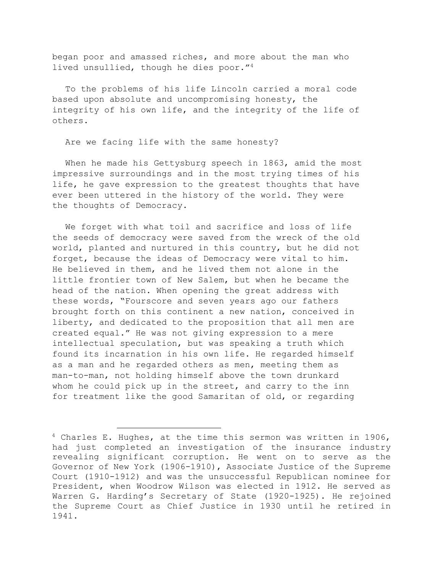began poor and amassed riches, and more about the man who lived unsullied, though he dies poor."4

To the problems of his life Lincoln carried a moral code based upon absolute and uncompromising honesty, the integrity of his own life, and the integrity of the life of others.

Are we facing life with the same honesty?

When he made his Gettysburg speech in 1863, amid the most impressive surroundings and in the most trying times of his life, he gave expression to the greatest thoughts that have ever been uttered in the history of the world. They were the thoughts of Democracy.

We forget with what toil and sacrifice and loss of life the seeds of democracy were saved from the wreck of the old world, planted and nurtured in this country, but he did not forget, because the ideas of Democracy were vital to him. He believed in them, and he lived them not alone in the little frontier town of New Salem, but when he became the head of the nation. When opening the great address with these words, "Fourscore and seven years ago our fathers brought forth on this continent a new nation, conceived in liberty, and dedicated to the proposition that all men are created equal." He was not giving expression to a mere intellectual speculation, but was speaking a truth which found its incarnation in his own life. He regarded himself as a man and he regarded others as men, meeting them as man-to-man, not holding himself above the town drunkard whom he could pick up in the street, and carry to the inn for treatment like the good Samaritan of old, or regarding

 $4$  Charles E. Hughes, at the time this sermon was written in 1906, had just completed an investigation of the insurance industry revealing significant corruption. He went on to serve as the Governor of New York (1906-1910), Associate Justice of the Supreme Court (1910-1912) and was the unsuccessful Republican nominee for President, when Woodrow Wilson was elected in 1912. He served as Warren G. Harding's Secretary of State (1920-1925). He rejoined the Supreme Court as Chief Justice in 1930 until he retired in 1941.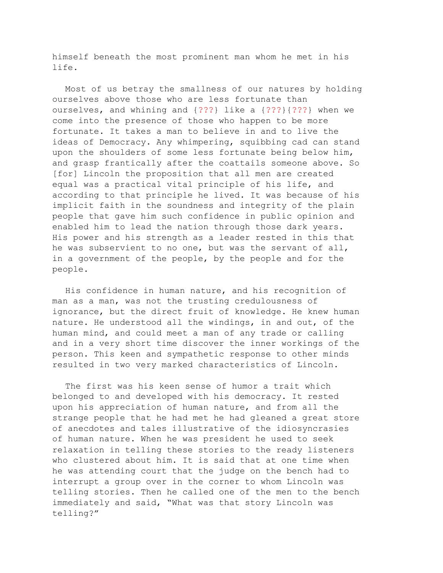himself beneath the most prominent man whom he met in his life.

Most of us betray the smallness of our natures by holding ourselves above those who are less fortunate than ourselves, and whining and {???} like a {???}{???} when we come into the presence of those who happen to be more fortunate. It takes a man to believe in and to live the ideas of Democracy. Any whimpering, squibbing cad can stand upon the shoulders of some less fortunate being below him, and grasp frantically after the coattails someone above. So [for] Lincoln the proposition that all men are created equal was a practical vital principle of his life, and according to that principle he lived. It was because of his implicit faith in the soundness and integrity of the plain people that gave him such confidence in public opinion and enabled him to lead the nation through those dark years. His power and his strength as a leader rested in this that he was subservient to no one, but was the servant of all, in a government of the people, by the people and for the people.

His confidence in human nature, and his recognition of man as a man, was not the trusting credulousness of ignorance, but the direct fruit of knowledge. He knew human nature. He understood all the windings, in and out, of the human mind, and could meet a man of any trade or calling and in a very short time discover the inner workings of the person. This keen and sympathetic response to other minds resulted in two very marked characteristics of Lincoln.

The first was his keen sense of humor a trait which belonged to and developed with his democracy. It rested upon his appreciation of human nature, and from all the strange people that he had met he had gleaned a great store of anecdotes and tales illustrative of the idiosyncrasies of human nature. When he was president he used to seek relaxation in telling these stories to the ready listeners who clustered about him. It is said that at one time when he was attending court that the judge on the bench had to interrupt a group over in the corner to whom Lincoln was telling stories. Then he called one of the men to the bench immediately and said, "What was that story Lincoln was telling?"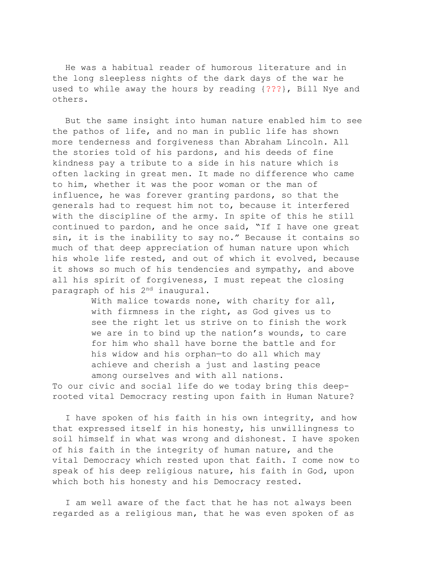He was a habitual reader of humorous literature and in the long sleepless nights of the dark days of the war he used to while away the hours by reading {???}, Bill Nye and others.

But the same insight into human nature enabled him to see the pathos of life, and no man in public life has shown more tenderness and forgiveness than Abraham Lincoln. All the stories told of his pardons, and his deeds of fine kindness pay a tribute to a side in his nature which is often lacking in great men. It made no difference who came to him, whether it was the poor woman or the man of influence, he was forever granting pardons, so that the generals had to request him not to, because it interfered with the discipline of the army. In spite of this he still continued to pardon, and he once said, "If I have one great sin, it is the inability to say no." Because it contains so much of that deep appreciation of human nature upon which his whole life rested, and out of which it evolved, because it shows so much of his tendencies and sympathy, and above all his spirit of forgiveness, I must repeat the closing paragraph of his 2nd inaugural.

> With malice towards none, with charity for all, with firmness in the right, as God gives us to see the right let us strive on to finish the work we are in to bind up the nation's wounds, to care for him who shall have borne the battle and for his widow and his orphan—to do all which may achieve and cherish a just and lasting peace among ourselves and with all nations.

To our civic and social life do we today bring this deeprooted vital Democracy resting upon faith in Human Nature?

I have spoken of his faith in his own integrity, and how that expressed itself in his honesty, his unwillingness to soil himself in what was wrong and dishonest. I have spoken of his faith in the integrity of human nature, and the vital Democracy which rested upon that faith. I come now to speak of his deep religious nature, his faith in God, upon which both his honesty and his Democracy rested.

I am well aware of the fact that he has not always been regarded as a religious man, that he was even spoken of as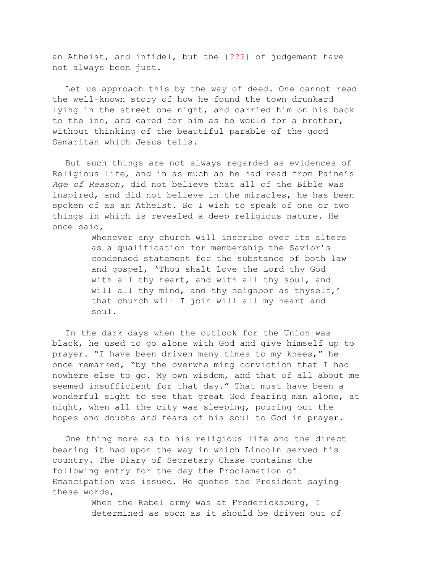an Atheist, and infidel, but the {???} of judgement have not always been just.

Let us approach this by the way of deed. One cannot read the well-known story of how he found the town drunkard lying in the street one night, and carried him on his back to the inn, and cared for him as he would for a brother, without thinking of the beautiful parable of the good Samaritan which Jesus tells.

But such things are not always regarded as evidences of Religious life, and in as much as he had read from Paine's *Age of Reason,* did not believe that all of the Bible was inspired, and did not believe in the miracles, he has been spoken of as an Atheist. So I wish to speak of one or two things in which is revealed a deep religious nature. He once said,

> Whenever any church will inscribe over its alters as a qualification for membership the Savior's condensed statement for the substance of both law and gospel, 'Thou shalt love the Lord thy God with all thy heart, and with all thy soul, and will all thy mind, and thy neighbor as thyself,' that church will I join will all my heart and soul.

In the dark days when the outlook for the Union was black, he used to go alone with God and give himself up to prayer. "I have been driven many times to my knees," he once remarked, "by the overwhelming conviction that I had nowhere else to go. My own wisdom, and that of all about me seemed insufficient for that day." That must have been a wonderful sight to see that great God fearing man alone, at night, when all the city was sleeping, pouring out the hopes and doubts and fears of his soul to God in prayer.

One thing more as to his religious life and the direct bearing it had upon the way in which Lincoln served his country. The Diary of Secretary Chase contains the following entry for the day the Proclamation of Emancipation was issued. He quotes the President saying these words,

> When the Rebel army was at Fredericksburg, I determined as soon as it should be driven out of